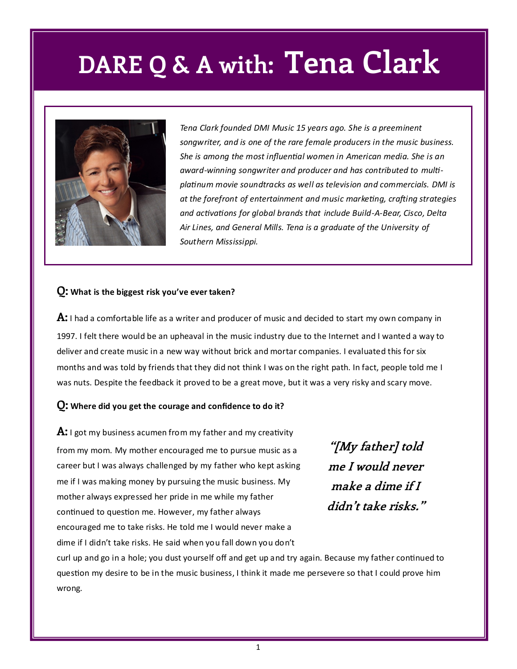### **DARE Q & A with: Tena Clark**



*Tena Clark founded DMI Music 15 years ago. She is a preeminent songwriter, and is one of the rare female producers in the music business. She is among the most influential women in American media. She is an award-winning songwriter and producer and has contributed to multiplatinum movie soundtracks as well as television and commercials. DMI is at the forefront of entertainment and music marketing, crafting strategies and activations for global brands that include Build-A-Bear, Cisco, Delta Air Lines, and General Mills. Tena is a graduate of the University of Southern Mississippi.* 

#### **Q: What is the biggest risk you've ever taken?**

**A:** I had a comfortable life as a writer and producer of music and decided to start my own company in 1997. I felt there would be an upheaval in the music industry due to the Internet and I wanted a way to deliver and create music in a new way without brick and mortar companies. I evaluated this for six months and was told by friends that they did not think I was on the right path. In fact, people told me I was nuts. Despite the feedback it proved to be a great move, but it was a very risky and scary move.

#### **Q: Where did you get the courage and confidence to do it?**

**A:** I got my business acumen from my father and my creativity from my mom. My mother encouraged me to pursue music as a career but I was always challenged by my father who kept asking me if I was making money by pursuing the music business. My mother always expressed her pride in me while my father continued to question me. However, my father always encouraged me to take risks. He told me I would never make a dime if I didn't take risks. He said when you fall down you don't

**"[My father] told me I would never make a dime if I didn't take risks."**

curl up and go in a hole; you dust yourself off and get up and try again. Because my father continued to question my desire to be in the music business, I think it made me persevere so that I could prove him wrong.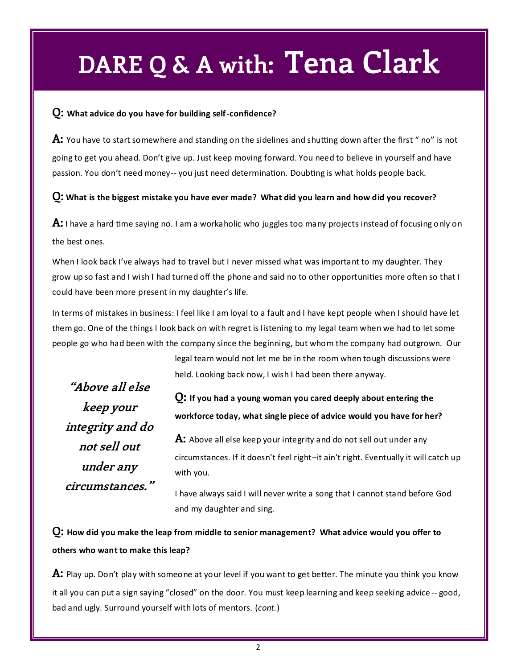## **DARE Q & A with: Tena Clark**

#### **Q: What advice do you have for building self-confidence?**

**A:** You have to start somewhere and standing on the sidelines and shutting down after the first " no" is not going to get you ahead. Don't give up. Just keep moving forward. You need to believe in yourself and have passion. You don't need money-- you just need determination. Doubting is what holds people back.

#### **Q: What is the biggest mistake you have ever made? What did you learn and how did you recover?**

**A:** I have a hard time saying no. I am a workaholic who juggles too many projects instead of focusing only on the best ones.

When I look back I've always had to travel but I never missed what was important to my daughter. They grow up so fast and I wish I had turned off the phone and said no to other opportunities more often so that I could have been more present in my daughter's life.

In terms of mistakes in business: I feel like I am loyal to a fault and I have kept people when I should have let them go. One of the things I look back on with regret is listening to my legal team when we had to let some people go who had been with the company since the beginning, but whom the company had outgrown. Our

> legal team would not let me be in the room when tough discussions were held. Looking back now, I wish I had been there anyway.

**"Above all else keep your integrity and do not sell out under any circumstances."**

**Q: If you had a young woman you cared deeply about entering the workforce today, what single piece of advice would you have for her?**

**A:** Above all else keep your integrity and do not sell out under any circumstances. If it doesn't feel right–it ain't right. Eventually it will catch up with you.

I have always said I will never write a song that I cannot stand before God and my daughter and sing.

**Q: How did you make the leap from middle to senior management? What advice would you offer to others who want to make this leap?**

**A:** Play up. Don't play with someone at your level if you want to get better. The minute you think you know it all you can put a sign saying "closed" on the door. You must keep learning and keep seeking advice -- good, bad and ugly. Surround yourself with lots of mentors. (*cont.*)